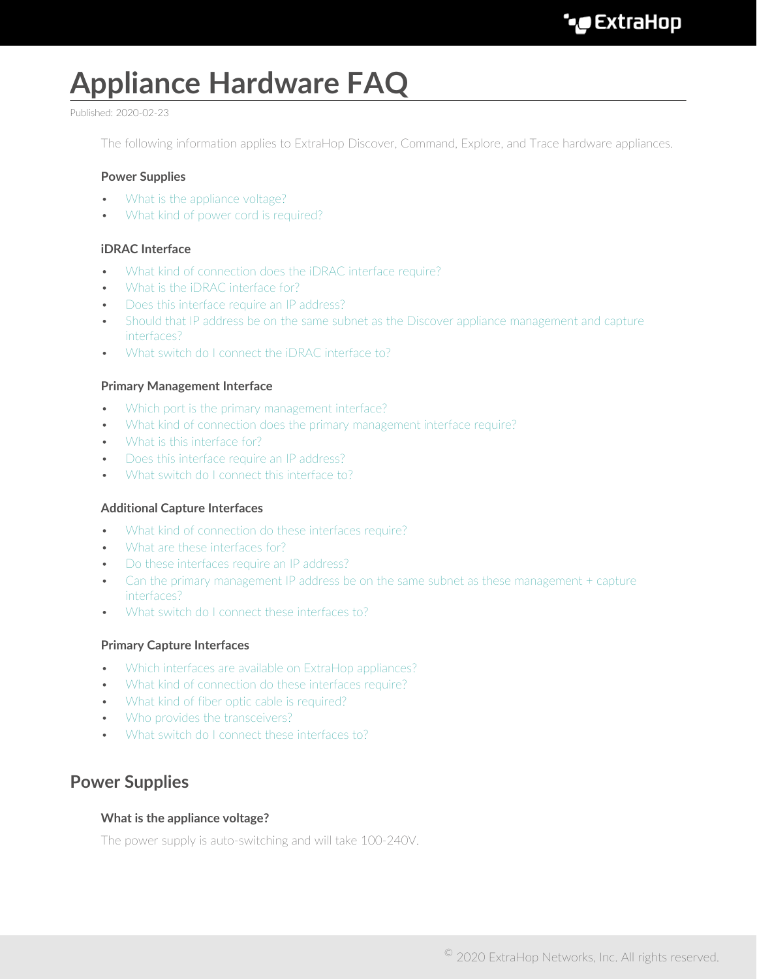# **Appliance Hardware FAQ**

#### Published: 2020-02-23

The following information applies to ExtraHop Discover, Command, Explore, and Trace hardware appliances.

#### **Power Supplies**

- [What is the appliance voltage?](#page-0-0)
- [What kind of power cord is required?](#page-1-0)

## **iDRAC Interface**

- [What kind of connection does the iDRAC interface require?](#page-1-1)
- [What is the iDRAC interface for?](#page-1-2)
- [Does this interface require an IP address?](#page-1-3)
- [Should that IP address be on the same subnet as the Discover appliance management and capture](#page-1-4) [interfaces?](#page-1-4)
- [What switch do I connect the iDRAC interface to?](#page-1-5)

#### **Primary Management Interface**

- [Which port is the primary management interface?](#page-1-6)
- [What kind of connection does the primary management interface require?](#page-1-7)
- [What is this interface for?](#page-1-8)
- [Does this interface require an IP address?](#page-1-9)
- [What switch do I connect this interface to?](#page-2-0)

#### **Additional Capture Interfaces**

- [What kind of connection do these interfaces require?](#page-2-1)
- [What are these interfaces for?](#page-2-2)
- [Do these interfaces require an IP address?](#page-2-3)
- [Can the primary management IP address be on the same subnet as these management + capture](#page-2-4) [interfaces?](#page-2-4)
- [What switch do I connect these interfaces to?](#page-2-5)

#### **Primary Capture Interfaces**

- [Which interfaces are available on ExtraHop appliances?](#page-2-6)
- [What kind of connection do these interfaces require?](#page-3-0)
- [What kind of fiber optic cable is required?](#page-3-1)
- [Who provides the transceivers?](#page-3-2)
- [What switch do I connect these interfaces to?](#page-3-3)

# <span id="page-0-0"></span>**Power Supplies**

#### **What is the appliance voltage?**

The power supply is auto-switching and will take 100-240V.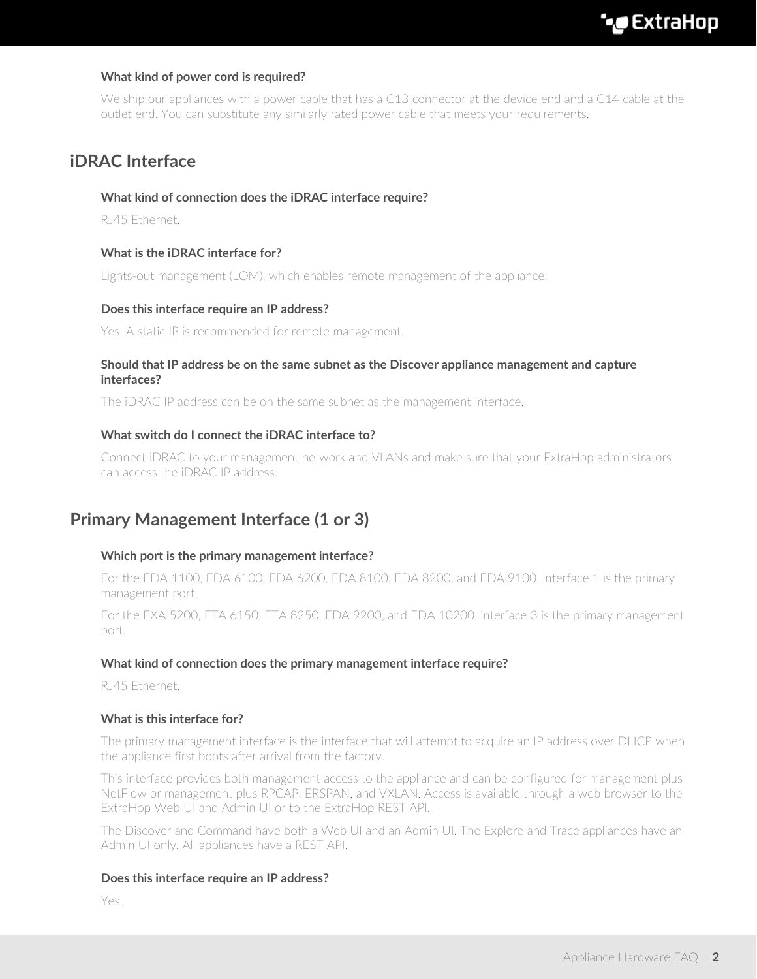# <span id="page-1-0"></span>**What kind of power cord is required?**

We ship our appliances with a power cable that has a C13 connector at the device end and a C14 cable at the outlet end. You can substitute any similarly rated power cable that meets your requirements.

# <span id="page-1-1"></span>**iDRAC Interface**

#### **What kind of connection does the iDRAC interface require?**

<span id="page-1-2"></span>RJ45 Ethernet.

## **What is the iDRAC interface for?**

<span id="page-1-3"></span>Lights-out management (LOM), which enables remote management of the appliance.

#### **Does this interface require an IP address?**

<span id="page-1-4"></span>Yes. A static IP is recommended for remote management.

#### **Should that IP address be on the same subnet as the Discover appliance management and capture interfaces?**

<span id="page-1-5"></span>The iDRAC IP address can be on the same subnet as the management interface.

## **What switch do I connect the iDRAC interface to?**

Connect iDRAC to your management network and VLANs and make sure that your ExtraHop administrators can access the iDRAC IP address.

# <span id="page-1-6"></span>**Primary Management Interface (1 or 3)**

#### **Which port is the primary management interface?**

For the EDA 1100, EDA 6100, EDA 6200, EDA 8100, EDA 8200, and EDA 9100, interface 1 is the primary management port.

For the EXA 5200, ETA 6150, ETA 8250, EDA 9200, and EDA 10200, interface 3 is the primary management port.

#### <span id="page-1-7"></span>**What kind of connection does the primary management interface require?**

<span id="page-1-8"></span>RJ45 Ethernet.

#### **What is this interface for?**

The primary management interface is the interface that will attempt to acquire an IP address over DHCP when the appliance first boots after arrival from the factory.

This interface provides both management access to the appliance and can be configured for management plus NetFlow or management plus RPCAP, ERSPAN, and VXLAN. Access is available through a web browser to the ExtraHop Web UI and Admin UI or to the ExtraHop REST API.

The Discover and Command have both a Web UI and an Admin UI. The Explore and Trace appliances have an Admin UI only. All appliances have a REST API.

#### <span id="page-1-9"></span>**Does this interface require an IP address?**

Yes.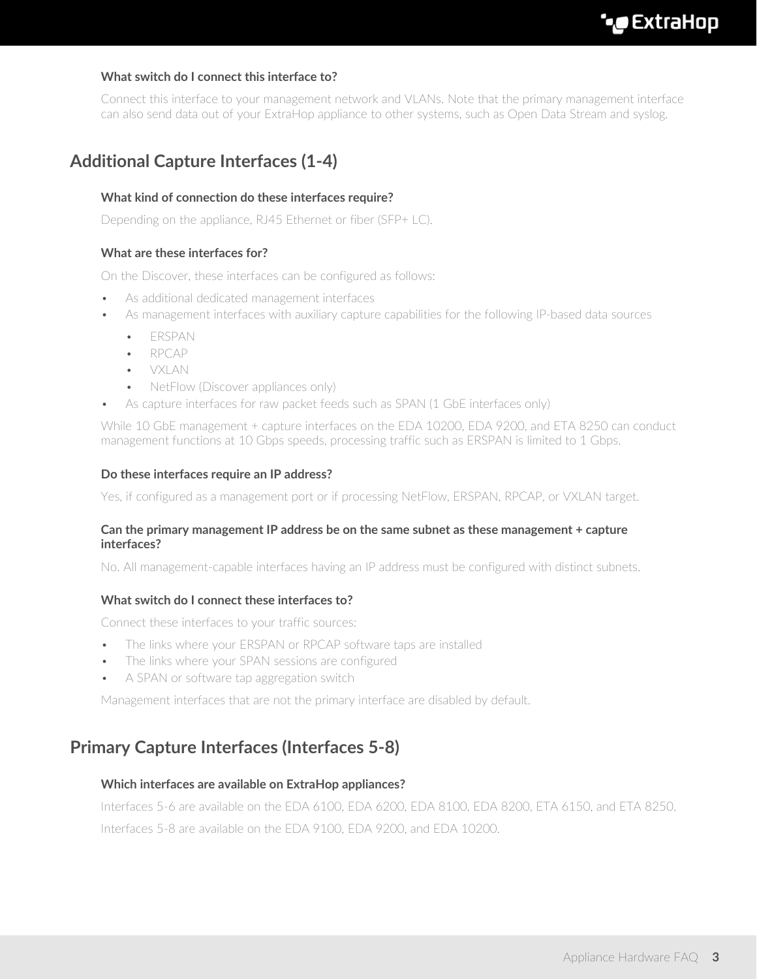# <span id="page-2-0"></span>**What switch do I connect this interface to?**

Connect this interface to your management network and VLANs. Note that the primary management interface can also send data out of your ExtraHop appliance to other systems, such as Open Data Stream and syslog.

# <span id="page-2-1"></span>**Additional Capture Interfaces (1-4)**

# **What kind of connection do these interfaces require?**

<span id="page-2-2"></span>Depending on the appliance, RJ45 Ethernet or fiber (SFP+ LC).

## **What are these interfaces for?**

On the Discover, these interfaces can be configured as follows:

- As additional dedicated management interfaces
- As management interfaces with auxiliary capture capabilities for the following IP-based data sources
	- ERSPAN
	- RPCAP
	- VXLAN
	- NetFlow (Discover appliances only)
	- As capture interfaces for raw packet feeds such as SPAN (1 GbE interfaces only)

While 10 GbE management + capture interfaces on the EDA 10200, EDA 9200, and ETA 8250 can conduct management functions at 10 Gbps speeds, processing traffic such as ERSPAN is limited to 1 Gbps.

#### <span id="page-2-3"></span>**Do these interfaces require an IP address?**

<span id="page-2-4"></span>Yes, if configured as a management port or if processing NetFlow, ERSPAN, RPCAP, or VXLAN target.

#### **Can the primary management IP address be on the same subnet as these management + capture interfaces?**

<span id="page-2-5"></span>No. All management-capable interfaces having an IP address must be configured with distinct subnets.

#### **What switch do I connect these interfaces to?**

Connect these interfaces to your traffic sources:

- The links where your ERSPAN or RPCAP software taps are installed
- The links where your SPAN sessions are configured
- A SPAN or software tap aggregation switch

Management interfaces that are not the primary interface are disabled by default.

# <span id="page-2-6"></span>**Primary Capture Interfaces (Interfaces 5-8)**

#### **Which interfaces are available on ExtraHop appliances?**

Interfaces 5-6 are available on the EDA 6100, EDA 6200, EDA 8100, EDA 8200, ETA 6150, and ETA 8250. Interfaces 5-8 are available on the EDA 9100, EDA 9200, and EDA 10200.